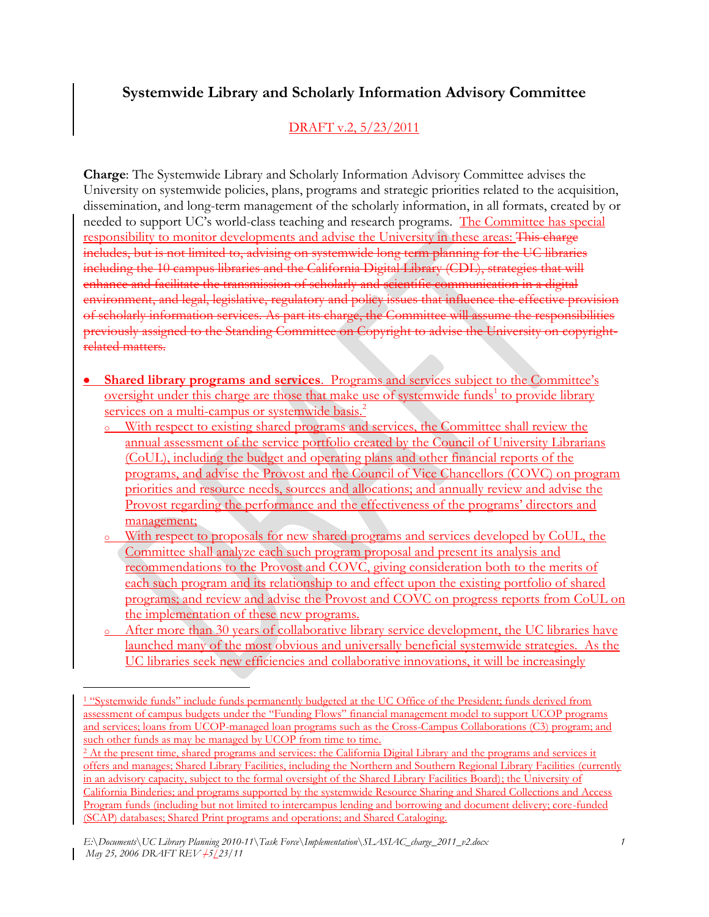## **Systemwide Library and Scholarly Information Advisory Committee**

## DRAFT v.2, 5/23/2011

**Charge**: The Systemwide Library and Scholarly Information Advisory Committee advises the University on systemwide policies, plans, programs and strategic priorities related to the acquisition, dissemination, and long-term management of the scholarly information, in all formats, created by or needed to support UC's world-class teaching and research programs. The Committee has special responsibility to monitor developments and advise the University in these areas: This charge includes, but is not limited to, advising on systemwide long term planning for the UC libraries including the 10 campus libraries and the California Digital Library (CDL), strategies that will enhance and facilitate the transmission of scholarly and scientific communication in a digital environment, and legal, legislative, regulatory and policy issues that influence the effective provision of scholarly information services. As part its charge, the Committee will assume the responsibilities previously assigned to the Standing Committee on Copyright to advise the University on copyrightrelated matters.

- **Shared library programs and services**. Programs and services subject to the Committee's oversight under this charge are those that make use of systemwide funds<sup>1</sup> to provide library services on a multi-campus or systemwide basis.<sup>2</sup>
	- <sup>o</sup> With respect to existing shared programs and services, the Committee shall review the annual assessment of the service portfolio created by the Council of University Librarians (CoUL), including the budget and operating plans and other financial reports of the programs, and advise the Provost and the Council of Vice Chancellors (COVC) on program priorities and resource needs, sources and allocations; and annually review and advise the Provost regarding the performance and the effectiveness of the programs' directors and management;
	- <sup>o</sup> With respect to proposals for new shared programs and services developed by CoUL, the Committee shall analyze each such program proposal and present its analysis and recommendations to the Provost and COVC, giving consideration both to the merits of each such program and its relationship to and effect upon the existing portfolio of shared programs; and review and advise the Provost and COVC on progress reports from CoUL on the implementation of these new programs.
	- o After more than 30 years of collaborative library service development, the UC libraries have launched many of the most obvious and universally beneficial systemwide strategies. As the UC libraries seek new efficiencies and collaborative innovations, it will be increasingly

 $\overline{a}$ <sup>1</sup> "Systemwide funds" include funds permanently budgeted at the UC Office of the President; funds derived from assessment of campus budgets under the "Funding Flows" financial management model to support UCOP programs and services; loans from UCOP-managed loan programs such as the Cross-Campus Collaborations (C3) program; and such other funds as may be managed by UCOP from time to time.

<sup>&</sup>lt;sup>2</sup> At the present time, shared programs and services: the California Digital Library and the programs and services it offers and manages; Shared Library Facilities, including the Northern and Southern Regional Library Facilities (currently in an advisory capacity, subject to the formal oversight of the Shared Library Facilities Board); the University of California Binderies; and programs supported by the systemwide Resource Sharing and Shared Collections and Access Program funds (including but not limited to intercampus lending and borrowing and document delivery; core-funded (SCAP) databases; Shared Print programs and operations; and Shared Cataloging.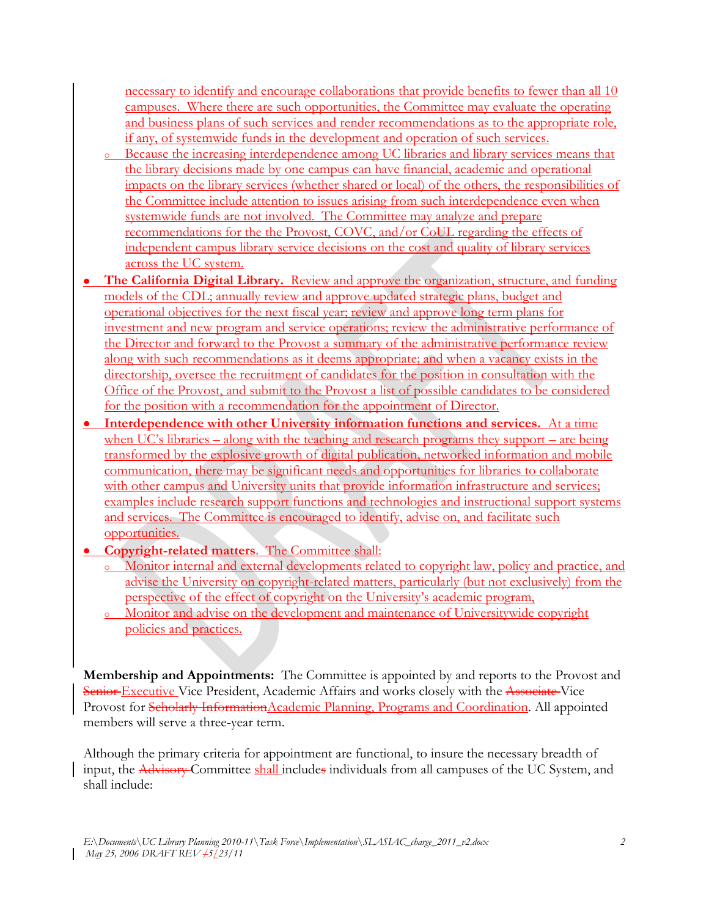necessary to identify and encourage collaborations that provide benefits to fewer than all 10 campuses. Where there are such opportunities, the Committee may evaluate the operating and business plans of such services and render recommendations as to the appropriate role, if any, of systemwide funds in the development and operation of such services.

- <sup>o</sup> Because the increasing interdependence among UC libraries and library services means that the library decisions made by one campus can have financial, academic and operational impacts on the library services (whether shared or local) of the others, the responsibilities of the Committee include attention to issues arising from such interdependence even when systemwide funds are not involved. The Committee may analyze and prepare recommendations for the the Provost, COVC, and/or CoUL regarding the effects of independent campus library service decisions on the cost and quality of library services across the UC system.
- **The California Digital Library.** Review and approve the organization, structure, and funding models of the CDL; annually review and approve updated strategic plans, budget and operational objectives for the next fiscal year; review and approve long term plans for investment and new program and service operations; review the administrative performance of the Director and forward to the Provost a summary of the administrative performance review along with such recommendations as it deems appropriate; and when a vacancy exists in the directorship, oversee the recruitment of candidates for the position in consultation with the Office of the Provost, and submit to the Provost a list of possible candidates to be considered for the position with a recommendation for the appointment of Director.
- **Interdependence with other University information functions and services.** At a time when UC's libraries – along with the teaching and research programs they support – are being transformed by the explosive growth of digital publication, networked information and mobile communication, there may be significant needs and opportunities for libraries to collaborate with other campus and University units that provide information infrastructure and services; examples include research support functions and technologies and instructional support systems and services. The Committee is encouraged to identify, advise on, and facilitate such opportunities.
- **Copyright-related matters**. The Committee shall:
	- <sup>o</sup> Monitor internal and external developments related to copyright law, policy and practice, and advise the University on copyright-related matters, particularly (but not exclusively) from the perspective of the effect of copyright on the University's academic program,
	- <sup>o</sup> Monitor and advise on the development and maintenance of Universitywide copyright policies and practices.

**Membership and Appointments:** The Committee is appointed by and reports to the Provost and Senior Executive Vice President, Academic Affairs and works closely with the Associate-Vice Provost for Scholarly InformationAcademic Planning, Programs and Coordination. All appointed members will serve a three-year term.

Although the primary criteria for appointment are functional, to insure the necessary breadth of input, the Advisory Committee shall includes individuals from all campuses of the UC System, and shall include: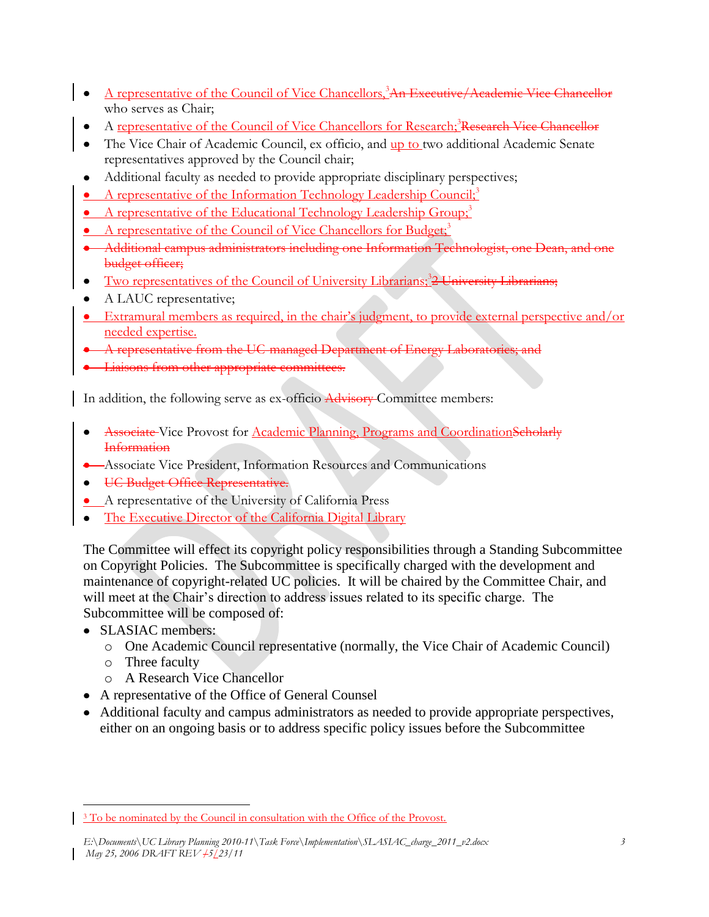- A representative of the Council of Vice Chancellors,<sup>3</sup>An Executive/Academic Vice Chancellor who serves as Chair;
- A representative of the Council of Vice Chancellors for Research;<sup>3</sup>Research Vice Chancellor
- The Vice Chair of Academic Council, ex officio, and up to two additional Academic Senate representatives approved by the Council chair;
- Additional faculty as needed to provide appropriate disciplinary perspectives;
- A representative of the Information Technology Leadership Council;<sup>3</sup>
- A representative of the Educational Technology Leadership Group;<sup>3</sup>
- A representative of the Council of Vice Chancellors for Budget;<sup>3</sup>
- Additional campus administrators including one Information Technologist, one Dean, and one budget officer;
- Two representatives of the Council of University Librarians;<sup>3</sup>2 University Librarians;
- A LAUC representative;
- Extramural members as required, in the chair's judgment, to provide external perspective and/or needed expertise.
- A representative from the UC-managed Department of Energy Laboratories
- **•** Liaisons from other appropriate committees.

In addition, the following serve as ex-officio Advisory Committee members:

- Associate Vice Provost for Academic Planning, Programs and CoordinationScholarly **Information**
- **Associate Vice President, Information Resources and Communications**
- UC Budget Office Representative.
- A representative of the University of California Press
- The Executive Director of the California Digital Library  $\bullet$

The Committee will effect its copyright policy responsibilities through a Standing Subcommittee on Copyright Policies. The Subcommittee is specifically charged with the development and maintenance of copyright-related UC policies. It will be chaired by the Committee Chair, and will meet at the Chair's direction to address issues related to its specific charge. The Subcommittee will be composed of:

- SLASIAC members:
	- o One Academic Council representative (normally, the Vice Chair of Academic Council)
	- o Three faculty
	- o A Research Vice Chancellor
- A representative of the Office of General Counsel
- Additional faculty and campus administrators as needed to provide appropriate perspectives, either on an ongoing basis or to address specific policy issues before the Subcommittee

 $\overline{a}$ <sup>3</sup> To be nominated by the Council in consultation with the Office of the Provost.